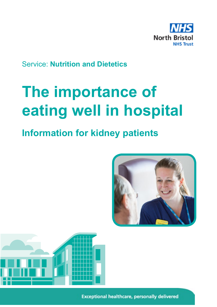

# Service: **Nutrition and Dietetics**

# **The importance of eating well in hospital**

# **Information for kidney patients**





**Exceptional healthcare, personally delivered**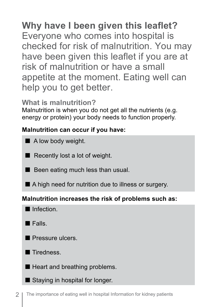# **Why have I been given this leaflet?** Everyone who comes into hospital is checked for risk of malnutrition. You may have been given this leaflet if you are at risk of malnutrition or have a small appetite at the moment. Eating well can help you to get better.

# **What is malnutrition?**

Malnutrition is when you do not get all the nutrients (e.g. energy or protein) your body needs to function properly.

# **Malnutrition can occur if you have:**

- A low body weight.
- Recently lost a lot of weight.
- $\blacksquare$  Been eating much less than usual.
- A high need for nutrition due to illness or surgery.

#### **Malnutrition increases the risk of problems such as:**

Infection

 $\blacksquare$  Falls.

**Pressure ulcers** 

■ Tiredness

Heart and breathing problems.

Staying in hospital for longer.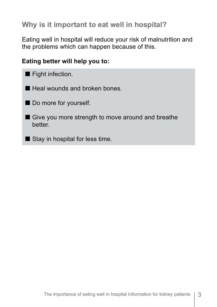# **Why is it important to eat well in hospital?**

Eating well in hospital will reduce your risk of malnutrition and the problems which can happen because of this.

#### **Eating better will help you to:**

- **Fight infection.**
- Heal wounds and broken bones
- Do more for yourself.
- Give you more strength to move around and breathe better.
- $\blacksquare$  Stay in hospital for less time.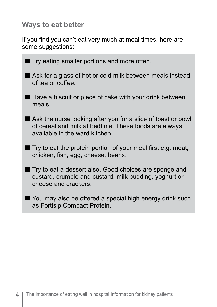## **Ways to eat better**

If you find you can't eat very much at meal times, here are some suggestions:

**Try eating smaller portions and more often.**  Ask for a glass of hot or cold milk between meals instead of tea or coffee.  $\blacksquare$  Have a biscuit or piece of cake with your drink between meals. Ask the nurse looking after you for a slice of toast or bowl of cereal and milk at bedtime. These foods are always available in the ward kitchen.  $\blacksquare$  Try to eat the protein portion of your meal first e.g. meat, chicken, fish, egg, cheese, beans. ■ Try to eat a dessert also. Good choices are sponge and custard, crumble and custard, milk pudding, yoghurt or cheese and crackers. You may also be offered a special high energy drink such as Fortisip Compact Protein.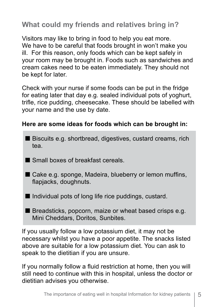**What could my friends and relatives bring in?**

Visitors may like to bring in food to help you eat more. We have to be careful that foods brought in won't make you ill. For this reason, only foods which can be kept safely in your room may be brought in. Foods such as sandwiches and cream cakes need to be eaten immediately. They should not be kept for later.

Check with your nurse if some foods can be put in the fridge for eating later that day e.g. sealed individual pots of yoghurt, trifle, rice pudding, cheesecake. These should be labelled with your name and the use by date.

#### **Here are some ideas for foods which can be brought in:**

- Biscuits e.g. shortbread, digestives, custard creams, rich tea.
- Small boxes of breakfast cereals.
- Cake e.g. sponge, Madeira, blueberry or lemon muffins, flapjacks, doughnuts.
- $\blacksquare$  Individual pots of long life rice puddings, custard.
- $\blacksquare$  Breadsticks, popcorn, maize or wheat based crisps e.g. Mini Cheddars, Doritos, Sunbites.

If you usually follow a low potassium diet, it may not be necessary whilst you have a poor appetite. The snacks listed above are suitable for a low potassium diet. You can ask to speak to the dietitian if you are unsure.

If you normally follow a fluid restriction at home, then you will still need to continue with this in hospital, unless the doctor or dietitian advises you otherwise.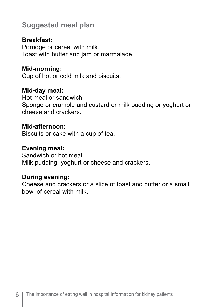# **Suggested meal plan**

#### **Breakfast:**

Porridge or cereal with milk. Toast with butter and jam or marmalade.

#### **Mid-morning:**

Cup of hot or cold milk and biscuits.

#### **Mid-day meal:**

Hot meal or sandwich. Sponge or crumble and custard or milk pudding or yoghurt or cheese and crackers.

#### **Mid-afternoon:**

Biscuits or cake with a cup of tea.

#### **Evening meal:**

Sandwich or hot meal. Milk pudding, yoghurt or cheese and crackers.

#### **During evening:**

Cheese and crackers or a slice of toast and butter or a small bowl of cereal with milk.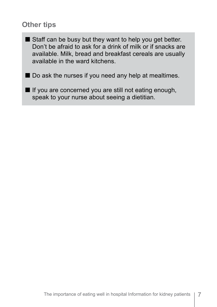## **Other tips**

- Staff can be busy but they want to help you get better. Don't be afraid to ask for a drink of milk or if snacks are available. Milk, bread and breakfast cereals are usually available in the ward kitchens.
- Do ask the nurses if you need any help at mealtimes.
	- If you are concerned you are still not eating enough, speak to your nurse about seeing a dietitian.